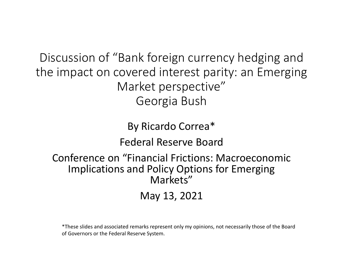Discussion of "Bank foreign currency hedging and the impact on covered interest parity: an Emerging Market perspective" Georgia Bush

> By Ricardo Correa\* Federal Reserve Board

Conference on "Financial Frictions: Macroeconomic Implications and Policy Options for Emerging Markets"

May 13, 2021

\*These slides and associated remarks represent only my opinions, not necessarily those of the Board of Governors or the Federal Reserve System.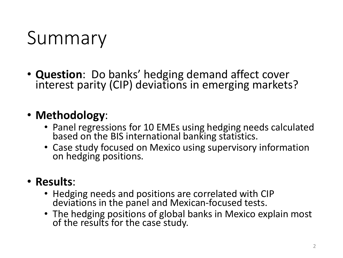#### Summary

• **Question**: Do banks' hedging demand affect cover interest parity (CIP) deviations in emerging markets?

#### • **Methodology**:

- Panel regressions for 10 EMEs using hedging needs calculated based on the BIS international banking statistics.
- Case study focused on Mexico using supervisory information on hedging positions.

#### • **Results**:

- Hedging needs and positions are correlated with CIP deviations in the panel and Mexican-focused tests.
- The hedging positions of global banks in Mexico explain most of the results for the case study.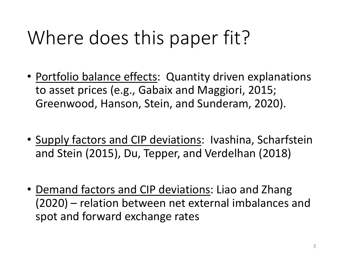## Where does this paper fit?

- Portfolio balance effects: Quantity driven explanations to asset prices (e.g., Gabaix and Maggiori, 2015; Greenwood, Hanson, Stein, and Sunderam, 2020).
- Supply factors and CIP deviations: Ivashina, Scharfstein and Stein (2015), Du, Tepper, and Verdelhan (2018)
- Demand factors and CIP deviations: Liao and Zhang (2020) – relation between net external imbalances and spot and forward exchange rates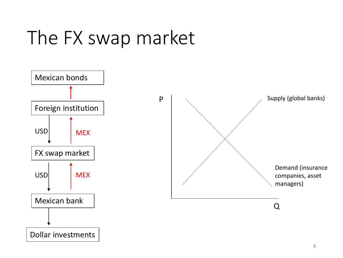## The FX swap market

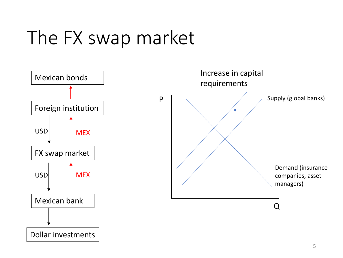## The FX swap market

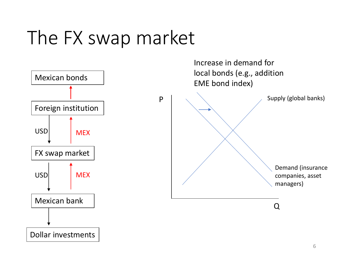## The FX swap market

![](_page_5_Figure_1.jpeg)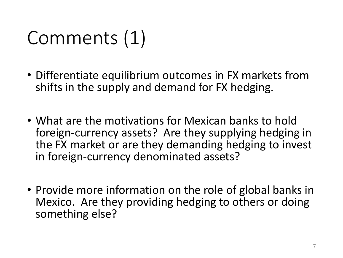## Comments (1)

- Differentiate equilibrium outcomes in FX markets from shifts in the supply and demand for FX hedging.
- What are the motivations for Mexican banks to hold foreign-currency assets? Are they supplying hedging in the FX market or are they demanding hedging to invest in foreign-currency denominated assets?
- Provide more information on the role of global banks in Mexico. Are they providing hedging to others or doing something else?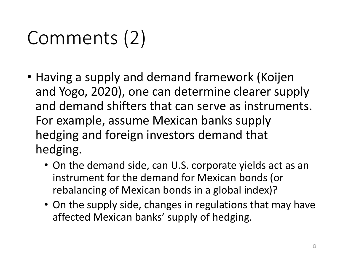# Comments (2)

- Having a supply and demand framework (Koijen and Yogo, 2020), one can determine clearer supply and demand shifters that can serve as instruments. For example, assume Mexican banks supply hedging and foreign investors demand that hedging.
	- On the demand side, can U.S. corporate yields act as an instrument for the demand for Mexican bonds (or rebalancing of Mexican bonds in a global index)?
	- On the supply side, changes in regulations that may have affected Mexican banks' supply of hedging.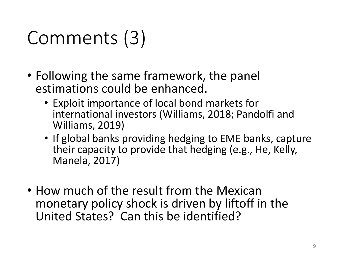# Comments (3)

- Following the same framework, the panel estimations could be enhanced.
	- Exploit importance of local bond markets for international investors (Williams, 2018; Pandolfi and Williams, 2019)
	- If global banks providing hedging to EME banks, capture their capacity to provide that hedging (e.g., He, Kelly, Manela, 2017)
- How much of the result from the Mexican monetary policy shock is driven by liftoff in the United States? Can this be identified?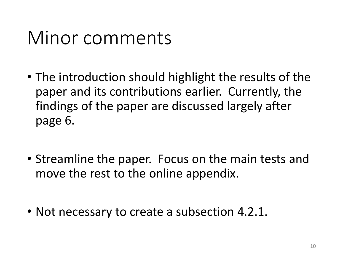#### Minor comments

- The introduction should highlight the results of the paper and its contributions earlier. Currently, the findings of the paper are discussed largely after page 6.
- Streamline the paper. Focus on the main tests and move the rest to the online appendix.
- Not necessary to create a subsection 4.2.1.